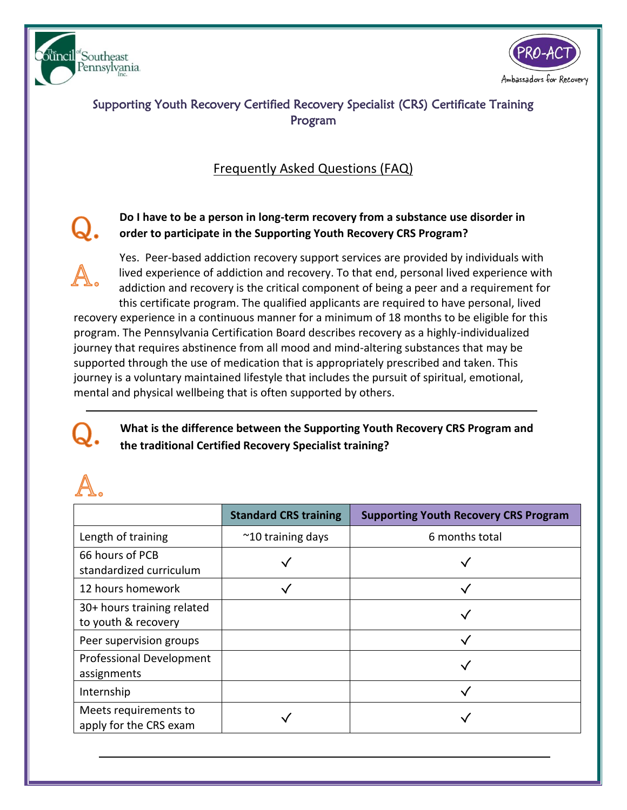



# Supporting Youth Recovery Certified Recovery Specialist (CRS) Certificate Training Program

# Frequently Asked Questions (FAQ)

## **Do I have to be a person in long-term recovery from a substance use disorder in order to participate in the Supporting Youth Recovery CRS Program?**

Yes. Peer-based addiction recovery support services are provided by individuals with lived experience of addiction and recovery. To that end, personal lived experience with addiction and recovery is the critical component of being a peer and a requirement for this certificate program. The qualified applicants are required to have personal, lived recovery experience in a continuous manner for a minimum of 18 months to be eligible for this program. The Pennsylvania Certification Board describes recovery as a highly-individualized journey that requires abstinence from all mood and mind-altering substances that may be supported through the use of medication that is appropriately prescribed and taken. This journey is a voluntary maintained lifestyle that includes the pursuit of spiritual, emotional, mental and physical wellbeing that is often supported by others.

**What is the difference between the Supporting Youth Recovery CRS Program and the traditional Certified Recovery Specialist training?**

|                                                   | <b>Standard CRS training</b> | <b>Supporting Youth Recovery CRS Program</b> |
|---------------------------------------------------|------------------------------|----------------------------------------------|
| Length of training                                | $\approx$ 10 training days   | 6 months total                               |
| 66 hours of PCB<br>standardized curriculum        |                              |                                              |
| 12 hours homework                                 |                              |                                              |
| 30+ hours training related<br>to youth & recovery |                              |                                              |
| Peer supervision groups                           |                              |                                              |
| Professional Development<br>assignments           |                              |                                              |
| Internship                                        |                              |                                              |
| Meets requirements to<br>apply for the CRS exam   |                              |                                              |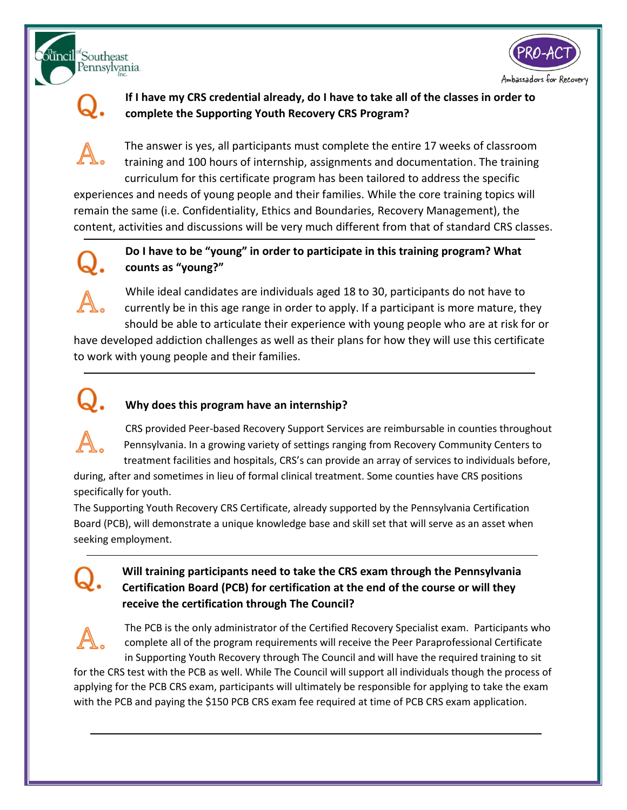





### **If I have my CRS credential already, do I have to take all of the classes in order to complete the Supporting Youth Recovery CRS Program?**

The answer is yes, all participants must complete the entire 17 weeks of classroom training and 100 hours of internship, assignments and documentation. The training curriculum for this certificate program has been tailored to address the specific

experiences and needs of young people and their families. While the core training topics will remain the same (i.e. Confidentiality, Ethics and Boundaries, Recovery Management), the content, activities and discussions will be very much different from that of standard CRS classes.



#### **Do I have to be "young" in order to participate in this training program? What counts as "young?"**

While ideal candidates are individuals aged 18 to 30, participants do not have to currently be in this age range in order to apply. If a participant is more mature, they should be able to articulate their experience with young people who are at risk for or have developed addiction challenges as well as their plans for how they will use this certificate to work with young people and their families.

# **Why does this program have an internship?**

CRS provided Peer-based Recovery Support Services are reimbursable in counties throughout Pennsylvania. In a growing variety of settings ranging from Recovery Community Centers to treatment facilities and hospitals, CRS's can provide an array of services to individuals before,

during, after and sometimes in lieu of formal clinical treatment. Some counties have CRS positions specifically for youth.

The Supporting Youth Recovery CRS Certificate, already supported by the Pennsylvania Certification Board (PCB), will demonstrate a unique knowledge base and skill set that will serve as an asset when seeking employment.

# **Will training participants need to take the CRS exam through the Pennsylvania Certification Board (PCB) for certification at the end of the course or will they receive the certification through The Council?**

The PCB is the only administrator of the Certified Recovery Specialist exam. Participants who complete all of the program requirements will receive the Peer Paraprofessional Certificate in Supporting Youth Recovery through The Council and will have the required training to sit for the CRS test with the PCB as well. While The Council will support all individuals though the process of applying for the PCB CRS exam, participants will ultimately be responsible for applying to take the exam with the PCB and paying the \$150 PCB CRS exam fee required at time of PCB CRS exam application.